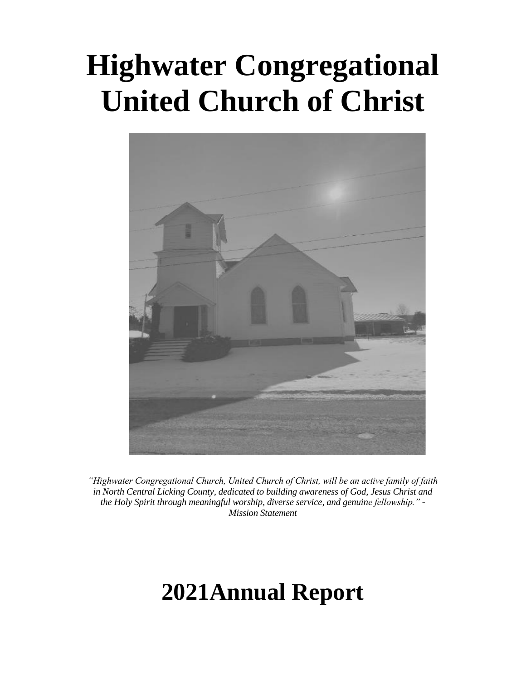# **Highwater Congregational United Church of Christ**



*"Highwater Congregational Church, United Church of Christ, will be an active family of faith in North Central Licking County, dedicated to building awareness of God, Jesus Christ and the Holy Spirit through meaningful worship, diverse service, and genuine fellowship." - Mission Statement*

## **2021Annual Report**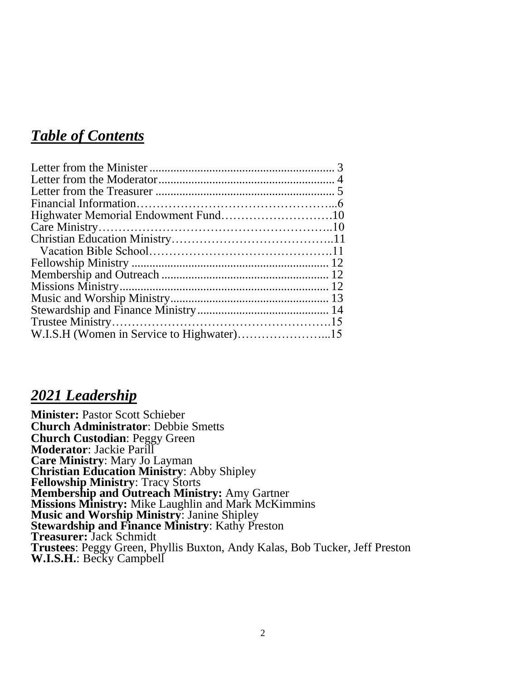## *Table of Contents*

#### *2021 Leadership*

**Minister:** Pastor Scott Schieber **Church Administrator**: Debbie Smetts **Church Custodian**: Peggy Green **Moderator**: Jackie Parill **Care Ministry**: Mary Jo Layman **Christian Education Ministry**: Abby Shipley **Fellowship Ministry**: Tracy Storts **Membership and Outreach Ministry:** Amy Gartner **Missions Ministry:** Mike Laughlin and Mark McKimmins **Music and Worship Ministry**: Janine Shipley **Stewardship and Finance Ministry**: Kathy Preston **Treasurer:** Jack Schmidt **Trustees**: Peggy Green, Phyllis Buxton, Andy Kalas, Bob Tucker, Jeff Preston **W.I.S.H.**: Becky Campbell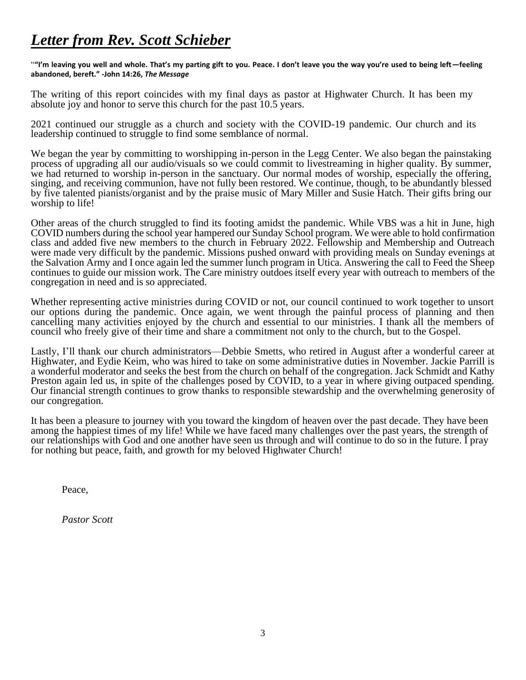## *Letter from Rev. Scott Schieber*

"**"I'm leaving you well and whole. That's my parting gift to you. Peace. I don't leave you the way you're used to being left—feeling abandoned, bereft." -John 14:26,** *The Message*

The writing of this report coincides with my final days as pastor at Highwater Church. It has been my absolute joy and honor to serve this church for the past 10.5 years.

2021 continued our struggle as a church and society with the COVID-19 pandemic. Our church and its leadership continued to struggle to find some semblance of normal.

We began the year by committing to worshipping in-person in the Legg Center. We also began the painstaking process of upgrading all our audio/visuals so we could commit to livestreaming in higher quality. By summer, we had returned to worship in-person in the sanctuary. Our normal modes of worship, especially the offering, singing, and receiving communion, have not fully been restored. We continue, though, to be abundantly blessed by five talented pianists/organist and by the praise music of Mary Miller and Susie Hatch. Their gifts bring our worship to life!

Other areas of the church struggled to find its footing amidst the pandemic. While VBS was a hit in June, high COVID numbers during the school year hampered our Sunday School program. We were able to hold confirmation class and added five new members to the church in February 2022. Fellowship and Membership and Outreach were made very difficult by the pandemic. Missions pushed onward with providing meals on Sunday evenings at the Salvation Army and I once again led the summer lunch program in Utica. Answering the call to Feed the Sheep continues to guide our mission work. The Care ministry outdoes itself every year with outreach to members of the congregation in need and is so appreciated.

Whether representing active ministries during COVID or not, our council continued to work together to unsort our options during the pandemic. Once again, we went through the painful process of planning and then cancelling many activities enjoyed by the church and essential to our ministries. I thank all the members of council who freely give of their time and share a commitment not only to the church, but to the Gospel.

Lastly, I'll thank our church administrators—Debbie Smetts, who retired in August after a wonderful career at Highwater, and Eydie Keim, who was hired to take on some administrative duties in November. Jackie Parrill is a wonderful moderator and seeks the best from the church on behalf of the congregation. Jack Schmidt and Kathy Preston again led us, in spite of the challenges posed by COVID, to a year in where giving outpaced spending. Our financial strength continues to grow thanks to responsible stewardship and the overwhelming generosity of our congregation.

It has been a pleasure to journey with you toward the kingdom of heaven over the past decade. They have been among the happiest times of my life! While we have faced many challenges over the past years, the strength of our relationships with God and one another have seen us through and will continue to do so in the future. I pray for nothing but peace, faith, and growth for my beloved Highwater Church!

Peace,

*Pastor Scott*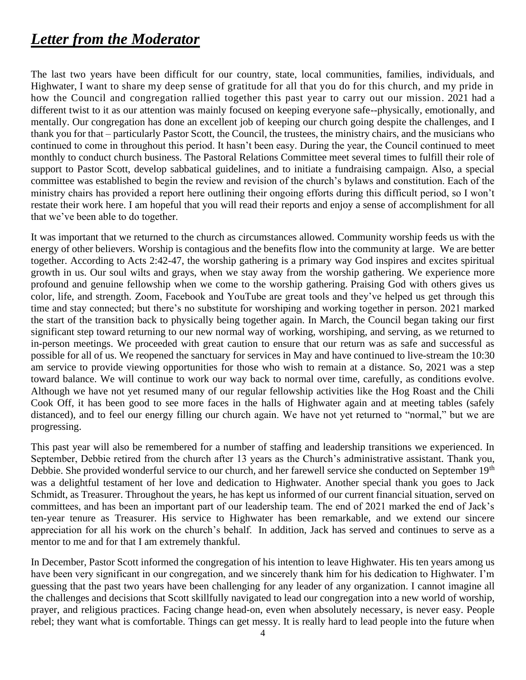## *Letter from the Moderator*

The last two years have been difficult for our country, state, local communities, families, individuals, and Highwater, I want to share my deep sense of gratitude for all that you do for this church, and my pride in how the Council and congregation rallied together this past year to carry out our mission. 2021 had a different twist to it as our attention was mainly focused on keeping everyone safe--physically, emotionally, and mentally. Our congregation has done an excellent job of keeping our church going despite the challenges, and I thank you for that – particularly Pastor Scott, the Council, the trustees, the ministry chairs, and the musicians who continued to come in throughout this period. It hasn't been easy. During the year, the Council continued to meet monthly to conduct church business. The Pastoral Relations Committee meet several times to fulfill their role of support to Pastor Scott, develop sabbatical guidelines, and to initiate a fundraising campaign. Also, a special committee was established to begin the review and revision of the church's bylaws and constitution. Each of the ministry chairs has provided a report here outlining their ongoing efforts during this difficult period, so I won't restate their work here. I am hopeful that you will read their reports and enjoy a sense of accomplishment for all that we've been able to do together.

It was important that we returned to the church as circumstances allowed. Community worship feeds us with the energy of other believers. Worship is contagious and the benefits flow into the community at large. We are better together. According to Acts 2:42-47, the worship gathering is a primary way God inspires and excites spiritual growth in us. Our soul wilts and grays, when we stay away from the worship gathering. We experience more profound and genuine fellowship when we come to the worship gathering. Praising God with others gives us color, life, and strength. Zoom, Facebook and YouTube are great tools and they've helped us get through this time and stay connected; but there's no substitute for worshiping and working together in person. 2021 marked the start of the transition back to physically being together again. In March, the Council began taking our first significant step toward returning to our new normal way of working, worshiping, and serving, as we returned to in-person meetings. We proceeded with great caution to ensure that our return was as safe and successful as possible for all of us. We reopened the sanctuary for services in May and have continued to live-stream the 10:30 am service to provide viewing opportunities for those who wish to remain at a distance. So, 2021 was a step toward balance. We will continue to work our way back to normal over time, carefully, as conditions evolve. Although we have not yet resumed many of our regular fellowship activities like the Hog Roast and the Chili Cook Off, it has been good to see more faces in the halls of Highwater again and at meeting tables (safely distanced), and to feel our energy filling our church again. We have not yet returned to "normal," but we are progressing.

This past year will also be remembered for a number of staffing and leadership transitions we experienced. In September, Debbie retired from the church after 13 years as the Church's administrative assistant. Thank you, Debbie. She provided wonderful service to our church, and her farewell service she conducted on September 19<sup>th</sup> was a delightful testament of her love and dedication to Highwater. Another special thank you goes to Jack Schmidt, as Treasurer. Throughout the years, he has kept us informed of our current financial situation, served on committees, and has been an important part of our leadership team. The end of 2021 marked the end of Jack's ten-year tenure as Treasurer. His service to Highwater has been remarkable, and we extend our sincere appreciation for all his work on the church's behalf. In addition, Jack has served and continues to serve as a mentor to me and for that I am extremely thankful.

In December, Pastor Scott informed the congregation of his intention to leave Highwater. His ten years among us have been very significant in our congregation, and we sincerely thank him for his dedication to Highwater. I'm guessing that the past two years have been challenging for any leader of any organization. I cannot imagine all the challenges and decisions that Scott skillfully navigated to lead our congregation into a new world of worship, prayer, and religious practices. Facing change head-on, even when absolutely necessary, is never easy. People rebel; they want what is comfortable. Things can get messy. It is really hard to lead people into the future when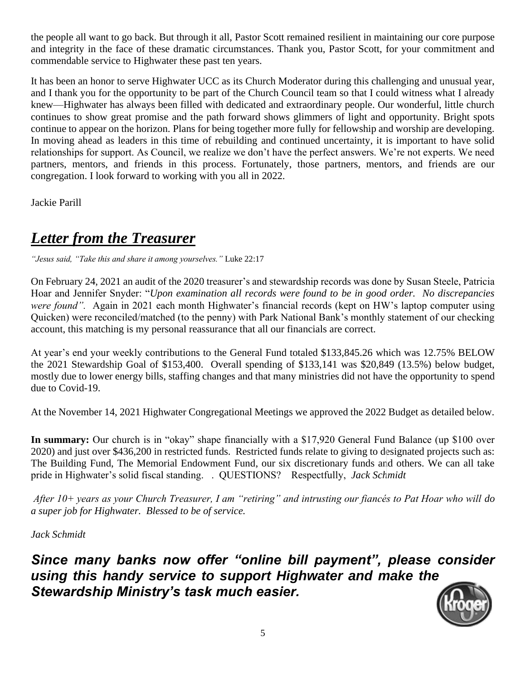the people all want to go back. But through it all, Pastor Scott remained resilient in maintaining our core purpose and integrity in the face of these dramatic circumstances. Thank you, Pastor Scott, for your commitment and commendable service to Highwater these past ten years.

It has been an honor to serve Highwater UCC as its Church Moderator during this challenging and unusual year, and I thank you for the opportunity to be part of the Church Council team so that I could witness what I already knew—Highwater has always been filled with dedicated and extraordinary people. Our wonderful, little church continues to show great promise and the path forward shows glimmers of light and opportunity. Bright spots continue to appear on the horizon. Plans for being together more fully for fellowship and worship are developing. In moving ahead as leaders in this time of rebuilding and continued uncertainty, it is important to have solid relationships for support. As Council, we realize we don't have the perfect answers. We're not experts. We need partners, mentors, and friends in this process. Fortunately, those partners, mentors, and friends are our congregation. I look forward to working with you all in 2022.

Jackie Parill

## *Letter from the Treasurer*

*"Jesus said, "Take this and share it among yourselves."* Luke 22:17

On February 24, 2021 an audit of the 2020 treasurer's and stewardship records was done by Susan Steele, Patricia Hoar and Jennifer Snyder: "*Upon examination all records were found to be in good order. No discrepancies were found".* Again in 2021 each month Highwater's financial records (kept on HW's laptop computer using Quicken) were reconciled/matched (to the penny) with Park National Bank's monthly statement of our checking account, this matching is my personal reassurance that all our financials are correct.

At year's end your weekly contributions to the General Fund totaled \$133,845.26 which was 12.75% BELOW the 2021 Stewardship Goal of \$153,400. Overall spending of \$133,141 was \$20,849 (13.5%) below budget, mostly due to lower energy bills, staffing changes and that many ministries did not have the opportunity to spend due to Covid-19.

At the November 14, 2021 Highwater Congregational Meetings we approved the 2022 Budget as detailed below.

**In summary:** Our church is in "okay" shape financially with a \$17,920 General Fund Balance (up \$100 over 2020) and just over \$436,200 in restricted funds. Restricted funds relate to giving to designated projects such as: The Building Fund, The Memorial Endowment Fund, our six discretionary funds and others. We can all take pride in Highwater's solid fiscal standing. . QUESTIONS? Respectfully, *Jack Schmidt*

*After 10+ years as your Church Treasurer, I am "retiring" and intrusting our fiancés to Pat Hoar who will do a super job for Highwater. Blessed to be of service.* 

*Jack Schmidt* 

*Since many banks now offer "online bill payment", please consider using this handy service to support Highwater and make the Stewardship Ministry's task much easier.* 

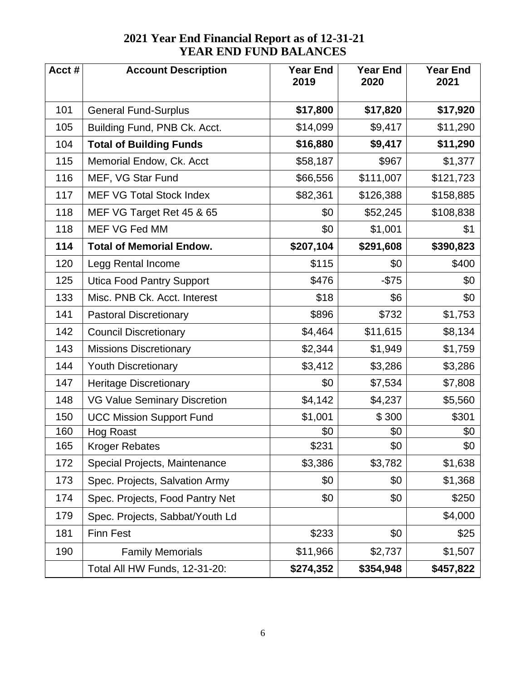| Acct# | <b>Account Description</b>          | <b>Year End</b><br>2019 | <b>Year End</b><br>2020 | <b>Year End</b><br>2021 |
|-------|-------------------------------------|-------------------------|-------------------------|-------------------------|
|       |                                     |                         |                         |                         |
| 101   | <b>General Fund-Surplus</b>         | \$17,800                | \$17,820                | \$17,920                |
| 105   | Building Fund, PNB Ck. Acct.        | \$14,099                | \$9,417                 | \$11,290                |
| 104   | <b>Total of Building Funds</b>      | \$16,880                | \$9,417                 | \$11,290                |
| 115   | Memorial Endow, Ck. Acct            | \$58,187                | \$967                   | \$1,377                 |
| 116   | MEF, VG Star Fund                   | \$66,556                | \$111,007               | \$121,723               |
| 117   | <b>MEF VG Total Stock Index</b>     | \$82,361                | \$126,388               | \$158,885               |
| 118   | MEF VG Target Ret 45 & 65           | \$0                     | \$52,245                | \$108,838               |
| 118   | MEF VG Fed MM                       | \$0                     | \$1,001                 | \$1                     |
| 114   | <b>Total of Memorial Endow.</b>     | \$207,104               | \$291,608               | \$390,823               |
| 120   | Legg Rental Income                  | \$115                   | \$0                     | \$400                   |
| 125   | <b>Utica Food Pantry Support</b>    | \$476                   | $-$75$                  | \$0                     |
| 133   | Misc. PNB Ck. Acct. Interest        | \$18                    | \$6                     | \$0                     |
| 141   | <b>Pastoral Discretionary</b>       | \$896                   | \$732                   | \$1,753                 |
| 142   | <b>Council Discretionary</b>        | \$4,464                 | \$11,615                | \$8,134                 |
| 143   | <b>Missions Discretionary</b>       | \$2,344                 | \$1,949                 | \$1,759                 |
| 144   | <b>Youth Discretionary</b>          | \$3,412                 | \$3,286                 | \$3,286                 |
| 147   | <b>Heritage Discretionary</b>       | \$0                     | \$7,534                 | \$7,808                 |
| 148   | <b>VG Value Seminary Discretion</b> | \$4,142                 | \$4,237                 | \$5,560                 |
| 150   | <b>UCC Mission Support Fund</b>     | \$1,001                 | \$300                   | \$301                   |
| 160   | <b>Hog Roast</b>                    | \$0                     | \$0                     | \$0                     |
| 165   | Kroger Rebates                      | \$231                   | \$0                     | \$0                     |
| 172   | Special Projects, Maintenance       | \$3,386                 | \$3,782                 | \$1,638                 |
| 173   | Spec. Projects, Salvation Army      | \$0                     | \$0                     | \$1,368                 |
| 174   | Spec. Projects, Food Pantry Net     | \$0                     | \$0                     | \$250                   |
| 179   | Spec. Projects, Sabbat/Youth Ld     |                         |                         | \$4,000                 |
| 181   | <b>Finn Fest</b>                    | \$233                   | \$0                     | \$25                    |
| 190   | <b>Family Memorials</b>             | \$11,966                | \$2,737                 | \$1,507                 |
|       | Total All HW Funds, 12-31-20:       | \$274,352               | \$354,948               | \$457,822               |

#### **2021 Year End Financial Report as of 12-31-21 YEAR END FUND BALANCES**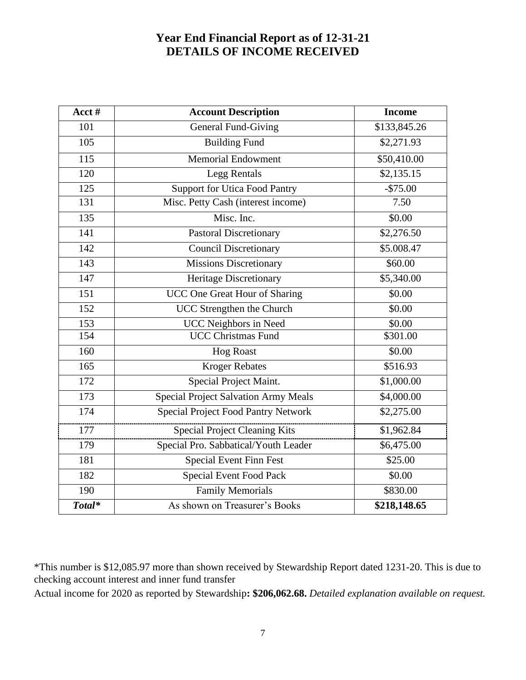#### **Year End Financial Report as of 12-31-21 DETAILS OF INCOME RECEIVED**

| Acct # | <b>Account Description</b>           | <b>Income</b> |
|--------|--------------------------------------|---------------|
| 101    | <b>General Fund-Giving</b>           | \$133,845.26  |
| 105    | <b>Building Fund</b>                 | \$2,271.93    |
| 115    | <b>Memorial Endowment</b>            | \$50,410.00   |
| 120    | Legg Rentals                         | \$2,135.15    |
| 125    | <b>Support for Utica Food Pantry</b> | $-$75.00$     |
| 131    | Misc. Petty Cash (interest income)   | 7.50          |
| 135    | Misc. Inc.                           | \$0.00        |
| 141    | <b>Pastoral Discretionary</b>        | \$2,276.50    |
| 142    | <b>Council Discretionary</b>         | \$5.008.47    |
| 143    | <b>Missions Discretionary</b>        | \$60.00       |
| 147    | Heritage Discretionary               | \$5,340.00    |
| 151    | UCC One Great Hour of Sharing        | \$0.00        |
| 152    | UCC Strengthen the Church            | \$0.00        |
| 153    | <b>UCC Neighbors in Need</b>         | \$0.00        |
| 154    | <b>UCC Christmas Fund</b>            | \$301.00      |
| 160    | <b>Hog Roast</b>                     | \$0.00        |
| 165    | <b>Kroger Rebates</b>                | \$516.93      |
| 172    | Special Project Maint.               | \$1,000.00    |
| 173    | Special Project Salvation Army Meals | \$4,000.00    |
| 174    | Special Project Food Pantry Network  | \$2,275.00    |
| 177    | Special Project Cleaning Kits        | \$1,962.84    |
| 179    | Special Pro. Sabbatical/Youth Leader | \$6,475.00    |
| 181    | <b>Special Event Finn Fest</b>       | \$25.00       |
| 182    | <b>Special Event Food Pack</b>       | \$0.00        |
| 190    | <b>Family Memorials</b>              | \$830.00      |
| Total* | As shown on Treasurer's Books        | \$218,148.65  |

\*This number is \$12,085.97 more than shown received by Stewardship Report dated 1231-20. This is due to checking account interest and inner fund transfer

Actual income for 2020 as reported by Stewardship**: \$206,062.68.** *Detailed explanation available on request.*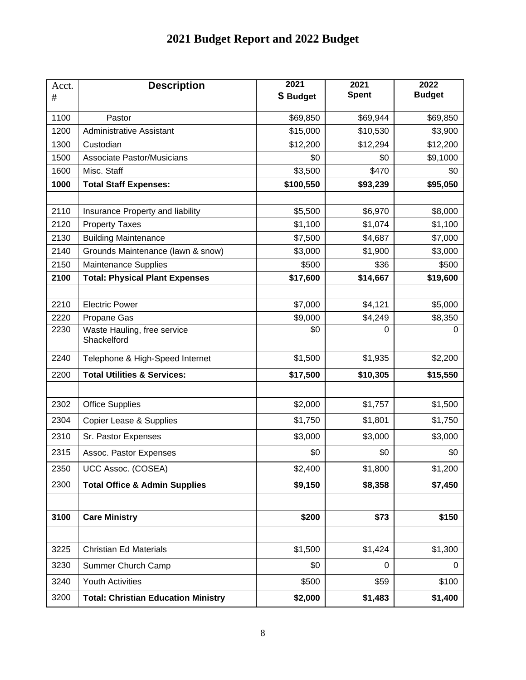## **2021 Budget Report and 2022 Budget**

| Acct.<br>$\#$ | <b>Description</b>                         | 2021<br>\$ Budget | 2021<br><b>Spent</b> | 2022<br><b>Budget</b> |
|---------------|--------------------------------------------|-------------------|----------------------|-----------------------|
| 1100          | Pastor                                     | \$69,850          | \$69,944             | \$69,850              |
| 1200          | <b>Administrative Assistant</b>            | \$15,000          | \$10,530             | \$3,900               |
| 1300          | Custodian                                  | \$12,200          | \$12,294             | \$12,200              |
| 1500          | Associate Pastor/Musicians                 | \$0               | \$0                  | \$9,1000              |
| 1600          | Misc. Staff                                | \$3,500           | \$470                | \$0                   |
| 1000          | <b>Total Staff Expenses:</b>               | \$100,550         | \$93,239             | \$95,050              |
|               |                                            |                   |                      |                       |
| 2110          | Insurance Property and liability           | \$5,500           | \$6,970              | \$8,000               |
| 2120          | <b>Property Taxes</b>                      | \$1,100           | \$1,074              | \$1,100               |
| 2130          | <b>Building Maintenance</b>                | \$7,500           | \$4,687              | \$7,000               |
| 2140          | Grounds Maintenance (lawn & snow)          | \$3,000           | \$1,900              | \$3,000               |
| 2150          | <b>Maintenance Supplies</b>                | \$500             | \$36                 | \$500                 |
| 2100          | <b>Total: Physical Plant Expenses</b>      | \$17,600          | \$14,667             | \$19,600              |
|               |                                            |                   |                      |                       |
| 2210          | <b>Electric Power</b>                      | \$7,000           | \$4,121              | \$5,000               |
| 2220          | Propane Gas                                | \$9,000           | \$4,249              | \$8,350               |
| 2230          | Waste Hauling, free service<br>Shackelford | \$0               | 0                    | 0                     |
| 2240          | Telephone & High-Speed Internet            | \$1,500           | \$1,935              | \$2,200               |
| 2200          | <b>Total Utilities &amp; Services:</b>     | \$17,500          | \$10,305             | \$15,550              |
|               |                                            |                   |                      |                       |
| 2302          | <b>Office Supplies</b>                     | \$2,000           | \$1,757              | \$1,500               |
| 2304          | <b>Copier Lease &amp; Supplies</b>         | \$1,750           | \$1,801              | \$1,750               |
| 2310          | Sr. Pastor Expenses                        | \$3,000           | \$3,000              | \$3,000               |
| 2315          | Assoc. Pastor Expenses                     | \$0               | \$0                  | \$0                   |
| 2350          | UCC Assoc. (COSEA)                         | \$2,400           | \$1,800              | \$1,200               |
| 2300          | <b>Total Office &amp; Admin Supplies</b>   | \$9,150           | \$8,358              | \$7,450               |
|               |                                            |                   |                      |                       |
| 3100          | <b>Care Ministry</b>                       | \$200             | \$73                 | \$150                 |
|               |                                            |                   |                      |                       |
| 3225          | <b>Christian Ed Materials</b>              | \$1,500           | \$1,424              | \$1,300               |
| 3230          | Summer Church Camp                         | \$0               | 0                    | 0                     |
| 3240          | <b>Youth Activities</b>                    | \$500             | \$59                 | \$100                 |
| 3200          | <b>Total: Christian Education Ministry</b> | \$2,000           | \$1,483              | \$1,400               |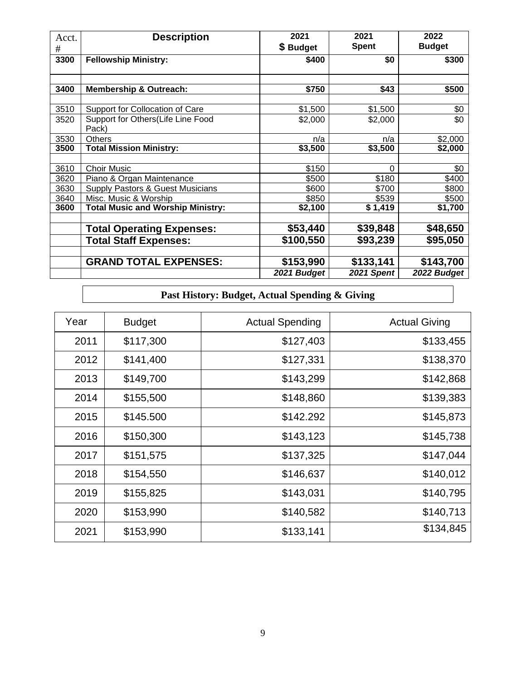| Acct.<br># | <b>Description</b>                                                   | 2021<br>\$ Budget | 2021<br><b>Spent</b> | 2022<br><b>Budget</b> |
|------------|----------------------------------------------------------------------|-------------------|----------------------|-----------------------|
| 3300       | <b>Fellowship Ministry:</b>                                          | \$400             | \$0                  | \$300                 |
|            |                                                                      |                   |                      |                       |
| 3400       | <b>Membership &amp; Outreach:</b>                                    | \$750             | \$43                 | \$500                 |
|            |                                                                      |                   |                      |                       |
| 3510       | Support for Collocation of Care<br>Support for Others(Life Line Food | \$1,500           | \$1,500              | \$0                   |
| 3520       | Pack)                                                                | \$2,000           | \$2,000              | \$0                   |
| 3530       | <b>Others</b>                                                        | n/a               | n/a                  | \$2,000               |
| 3500       | <b>Total Mission Ministry:</b>                                       | \$3,500           | \$3,500              | \$2,000               |
|            |                                                                      |                   |                      |                       |
| 3610       | <b>Choir Music</b>                                                   | \$150             | $\Omega$             | \$0                   |
| 3620       | Piano & Organ Maintenance                                            | \$500             | \$180                | \$400                 |
| 3630       | Supply Pastors & Guest Musicians                                     | \$600             | \$700                | \$800                 |
| 3640       | Misc. Music & Worship                                                | \$850             | \$539                | \$500                 |
| 3600       | <b>Total Music and Worship Ministry:</b>                             | \$2,100           | \$1,419              | \$1,700               |
|            |                                                                      |                   |                      |                       |
|            | <b>Total Operating Expenses:</b>                                     | \$53,440          | \$39,848             | \$48,650              |
|            | <b>Total Staff Expenses:</b>                                         | \$100,550         | \$93,239             | \$95,050              |
|            |                                                                      |                   |                      |                       |
|            | <b>GRAND TOTAL EXPENSES:</b>                                         | \$153,990         | \$133,141            | \$143,700             |
|            |                                                                      | 2021 Budget       | 2021 Spent           | 2022 Budget           |

#### **Past History: Budget, Actual Spending & Giving**

| Year | <b>Budget</b> | <b>Actual Spending</b> | <b>Actual Giving</b> |
|------|---------------|------------------------|----------------------|
| 2011 | \$117,300     | \$127,403              | \$133,455            |
| 2012 | \$141,400     | \$127,331              | \$138,370            |
| 2013 | \$149,700     | \$143,299              | \$142,868            |
| 2014 | \$155,500     | \$148,860              | \$139,383            |
| 2015 | \$145.500     | \$142.292              | \$145,873            |
| 2016 | \$150,300     | \$143,123              | \$145,738            |
| 2017 | \$151,575     | \$137,325              | \$147,044            |
| 2018 | \$154,550     | \$146,637              | \$140,012            |
| 2019 | \$155,825     | \$143,031              | \$140,795            |
| 2020 | \$153,990     | \$140,582              | \$140,713            |
| 2021 | \$153,990     | \$133,141              | \$134,845            |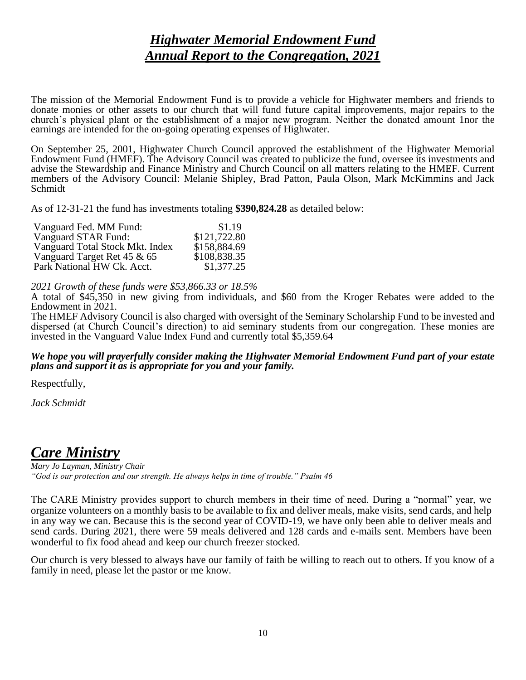#### *Highwater Memorial Endowment Fund Annual Report to the Congregation, 2021*

The mission of the Memorial Endowment Fund is to provide a vehicle for Highwater members and friends to donate monies or other assets to our church that will fund future capital improvements, major repairs to the church's physical plant or the establishment of a major new program. Neither the donated amount 1nor the earnings are intended for the on-going operating expenses of Highwater.

On September 25, 2001, Highwater Church Council approved the establishment of the Highwater Memorial Endowment Fund (HMEF). The Advisory Council was created to publicize the fund, oversee its investments and advise the Stewardship and Finance Ministry and Church Council on all matters relating to the HMEF. Current members of the Advisory Council: Melanie Shipley, Brad Patton, Paula Olson, Mark McKimmins and Jack Schmidt

As of 12-31-21 the fund has investments totaling **\$390,824.28** as detailed below:

| Vanguard Fed. MM Fund:          | \$1.19       |
|---------------------------------|--------------|
| Vanguard STAR Fund:             | \$121,722.80 |
| Vanguard Total Stock Mkt. Index | \$158,884.69 |
| Vanguard Target Ret 45 & 65     | \$108,838.35 |
| Park National HW Ck. Acct.      | \$1,377.25   |

*2021 Growth of these funds were \$53,866.33 or 18.5%*

A total of \$45,350 in new giving from individuals, and \$60 from the Kroger Rebates were added to the Endowment in 2021.

The HMEF Advisory Council is also charged with oversight of the Seminary Scholarship Fund to be invested and dispersed (at Church Council's direction) to aid seminary students from our congregation. These monies are invested in the Vanguard Value Index Fund and currently total \$5,359.64

#### *We hope you will prayerfully consider making the Highwater Memorial Endowment Fund part of your estate plans and support it as is appropriate for you and your family.*

Respectfully,

*Jack Schmidt*

#### *Care Ministry*

*Mary Jo Layman, Ministry Chair "God is our protection and our strength. He always helps in time of trouble." Psalm 46*

The CARE Ministry provides support to church members in their time of need. During a "normal" year, we organize volunteers on a monthly basis to be available to fix and deliver meals, make visits, send cards, and help in any way we can. Because this is the second year of COVID-19, we have only been able to deliver meals and send cards. During 2021, there were 59 meals delivered and 128 cards and e-mails sent. Members have been wonderful to fix food ahead and keep our church freezer stocked.

Our church is very blessed to always have our family of faith be willing to reach out to others. If you know of a family in need, please let the pastor or me know.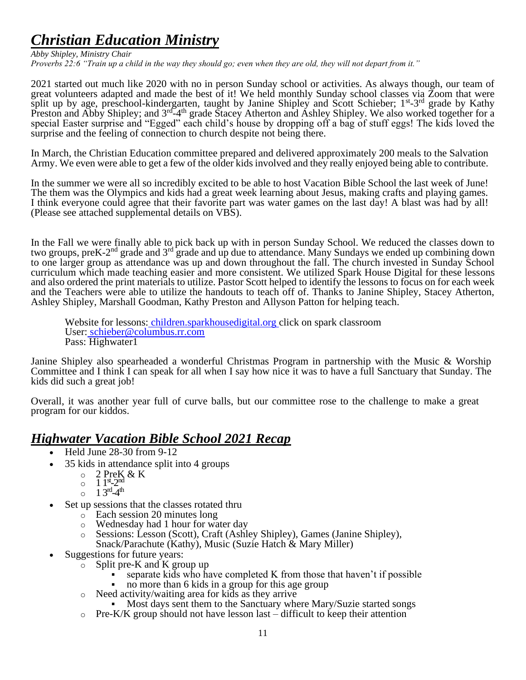## *Christian Education Ministry*

*Abby Shipley, Ministry Chair Proverbs 22:6 "Train up a child in the way they should go; even when they are old, they will not depart from it."*

2021 started out much like 2020 with no in person Sunday school or activities. As always though, our team of great volunteers adapted and made the best of it! We held monthly Sunday school classes via Zoom that were split up by age, preschool-kindergarten, taught by Janine Shipley and Scott Schieber; 1<sup>st</sup>-3<sup>rd</sup> grade by Kathy Preston and Abby Shipley; and 3<sup>rd-4th</sup> grade Stacey Atherton and Ashley Shipley. We also worked together for a special Easter surprise and "Egged" each child's house by dropping off a bag of stuff eggs! The kids loved the surprise and the feeling of connection to church despite not being there.

In March, the Christian Education committee prepared and delivered approximately 200 meals to the Salvation Army. We even were able to get a few of the older kids involved and they really enjoyed being able to contribute.

In the summer we were all so incredibly excited to be able to host Vacation Bible School the last week of June! The them was the Olympics and kids had a great week learning about Jesus, making crafts and playing games. I think everyone could agree that their favorite part was water games on the last day! A blast was had by all! (Please see attached supplemental details on VBS).

In the Fall we were finally able to pick back up with in person Sunday School. We reduced the classes down to two groups, preK-2<sup>nd</sup> grade and 3<sup>rd</sup> grade and up due to attendance. Many Sundays we ended up combining down to one larger group as attendance was up and down throughout the fall. The church invested in Sunday School curriculum which made teaching easier and more consistent. We utilized Spark House Digital for these lessons and also ordered the print materials to utilize. Pastor Scott helped to identify the lessons to focus on for each week and the Teachers were able to utilize the handouts to teach off of. Thanks to Janine Shipley, Stacey Atherton, Ashley Shipley, Marshall Goodman, Kathy Preston and Allyson Patton for helping teach.

Website for lessons: [children.sparkhousedigital.org](http://children.sparkhousedigital.org/) click on spark classroom User: [schieber@columbus.rr.com](mailto:schieber@columbus.rr.com) Pass: Highwater1

Janine Shipley also spearheaded a wonderful Christmas Program in partnership with the Music & Worship Committee and I think I can speak for all when I say how nice it was to have a full Sanctuary that Sunday. The kids did such a great job!

Overall, it was another year full of curve balls, but our committee rose to the challenge to make a great program for our kiddos.

#### *Highwater Vacation Bible School 2021 Recap*

- Held June 28-30 from 9-12
- 35 kids in attendance split into 4 groups
	- $\circ$  2 PreK & K
	- $\overline{1}$  1st-2<sup>nd</sup>
	- $_0$  1 3<sup>rd</sup>-4<sup>th</sup>
- Set up sessions that the classes rotated thru
	- o Each session 20 minutes long
	- o Wednesday had 1 hour for water day<br>
	Sessions: Lesson (Scott), Craft (Ashle
	- Sessions: Lesson (Scott), Craft (Ashley Shipley), Games (Janine Shipley), Snack/Parachute (Kathy), Music (Suzie Hatch & Mary Miller)
- Suggestions for future years:
	- o Split pre-K and K group up
		- separate kids who have completed K from those that haven't if possible
		- no more than 6 kids in a group for this age group
	- o Need activity/waiting area for kids as they arrive
		- Most days sent them to the Sanctuary where Mary/Suzie started songs
	- $\circ$  Pre-K/K group should not have lesson last difficult to keep their attention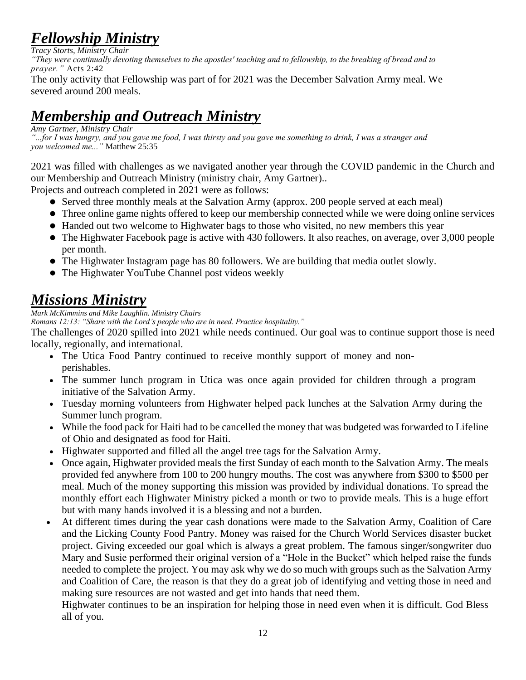## *Fellowship Ministry*

*Tracy Storts, Ministry Chair "They were continually devoting themselves to the apostles' teaching and to fellowship, to the breaking of bread and to prayer."* Acts 2:42

The only activity that Fellowship was part of for 2021 was the December Salvation Army meal. We severed around 200 meals.

## *Membership and Outreach Ministry*

*Amy Gartner, Ministry Chair*

*"...for I was hungry, and you gave me food, I was thirsty and you gave me something to drink, I was a stranger and you welcomed me..."* Matthew 25:35

2021 was filled with challenges as we navigated another year through the COVID pandemic in the Church and our Membership and Outreach Ministry (ministry chair, Amy Gartner)..

Projects and outreach completed in 2021 were as follows:

- ⚫ Served three monthly meals at the Salvation Army (approx. 200 people served at each meal)
- ⚫ Three online game nights offered to keep our membership connected while we were doing online services
- ⚫ Handed out two welcome to Highwater bags to those who visited, no new members this year
- ⚫ The Highwater Facebook page is active with 430 followers. It also reaches, on average, over 3,000 people per month.
- ⚫ The Highwater Instagram page has 80 followers. We are building that media outlet slowly.
- ⚫ The Highwater YouTube Channel post videos weekly

## *Missions Ministry*

*Mark McKimmins and Mike Laughlin. Ministry Chairs*

*Romans 12:13: "Share with the Lord's people who are in need. Practice hospitality."*

The challenges of 2020 spilled into 2021 while needs continued. Our goal was to continue support those is need locally, regionally, and international.

- The Utica Food Pantry continued to receive monthly support of money and nonperishables.
- The summer lunch program in Utica was once again provided for children through a program initiative of the Salvation Army.
- Tuesday morning volunteers from Highwater helped pack lunches at the Salvation Army during the Summer lunch program.
- While the food pack for Haiti had to be cancelled the money that was budgeted was forwarded to Lifeline of Ohio and designated as food for Haiti.
- Highwater supported and filled all the angel tree tags for the Salvation Army.
- Once again, Highwater provided meals the first Sunday of each month to the Salvation Army. The meals provided fed anywhere from 100 to 200 hungry mouths. The cost was anywhere from \$300 to \$500 per meal. Much of the money supporting this mission was provided by individual donations. To spread the monthly effort each Highwater Ministry picked a month or two to provide meals. This is a huge effort but with many hands involved it is a blessing and not a burden.
- At different times during the year cash donations were made to the Salvation Army, Coalition of Care and the Licking County Food Pantry. Money was raised for the Church World Services disaster bucket project. Giving exceeded our goal which is always a great problem. The famous singer/songwriter duo Mary and Susie performed their original version of a "Hole in the Bucket" which helped raise the funds needed to complete the project. You may ask why we do so much with groups such as the Salvation Army and Coalition of Care, the reason is that they do a great job of identifying and vetting those in need and making sure resources are not wasted and get into hands that need them.

Highwater continues to be an inspiration for helping those in need even when it is difficult. God Bless all of you.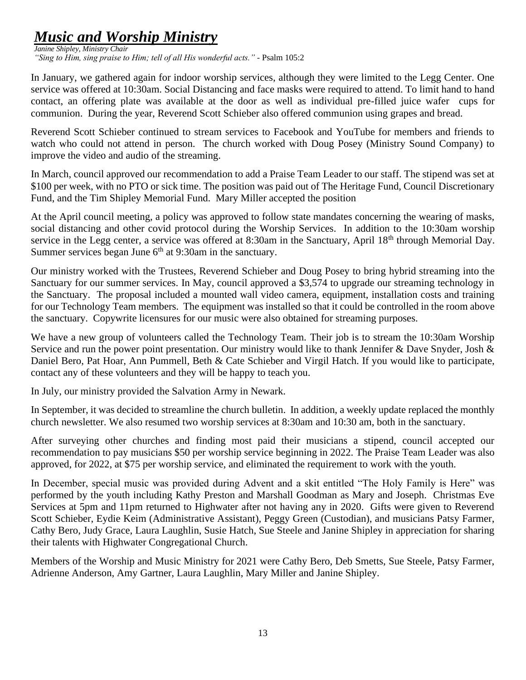## *Music and Worship Ministry*

*Janine Shipley, Ministry Chair "Sing to Him, sing praise to Him; tell of all His wonderful acts." -* Psalm 105:2

In January, we gathered again for indoor worship services, although they were limited to the Legg Center. One service was offered at 10:30am. Social Distancing and face masks were required to attend. To limit hand to hand contact, an offering plate was available at the door as well as individual pre-filled juice wafer cups for communion. During the year, Reverend Scott Schieber also offered communion using grapes and bread.

Reverend Scott Schieber continued to stream services to Facebook and YouTube for members and friends to watch who could not attend in person. The church worked with Doug Posey (Ministry Sound Company) to improve the video and audio of the streaming.

In March, council approved our recommendation to add a Praise Team Leader to our staff. The stipend was set at \$100 per week, with no PTO or sick time. The position was paid out of The Heritage Fund, Council Discretionary Fund, and the Tim Shipley Memorial Fund. Mary Miller accepted the position

At the April council meeting, a policy was approved to follow state mandates concerning the wearing of masks, social distancing and other covid protocol during the Worship Services. In addition to the 10:30am worship service in the Legg center, a service was offered at 8:30am in the Sanctuary, April 18<sup>th</sup> through Memorial Day. Summer services began June  $6<sup>th</sup>$  at 9:30am in the sanctuary.

Our ministry worked with the Trustees, Reverend Schieber and Doug Posey to bring hybrid streaming into the Sanctuary for our summer services. In May, council approved a \$3,574 to upgrade our streaming technology in the Sanctuary. The proposal included a mounted wall video camera, equipment, installation costs and training for our Technology Team members. The equipment was installed so that it could be controlled in the room above the sanctuary. Copywrite licensures for our music were also obtained for streaming purposes.

We have a new group of volunteers called the Technology Team. Their job is to stream the 10:30am Worship Service and run the power point presentation. Our ministry would like to thank Jennifer & Dave Snyder, Josh & Daniel Bero, Pat Hoar, Ann Pummell, Beth & Cate Schieber and Virgil Hatch. If you would like to participate, contact any of these volunteers and they will be happy to teach you.

In July, our ministry provided the Salvation Army in Newark.

In September, it was decided to streamline the church bulletin. In addition, a weekly update replaced the monthly church newsletter. We also resumed two worship services at 8:30am and 10:30 am, both in the sanctuary.

After surveying other churches and finding most paid their musicians a stipend, council accepted our recommendation to pay musicians \$50 per worship service beginning in 2022. The Praise Team Leader was also approved, for 2022, at \$75 per worship service, and eliminated the requirement to work with the youth.

In December, special music was provided during Advent and a skit entitled "The Holy Family is Here" was performed by the youth including Kathy Preston and Marshall Goodman as Mary and Joseph. Christmas Eve Services at 5pm and 11pm returned to Highwater after not having any in 2020. Gifts were given to Reverend Scott Schieber, Eydie Keim (Administrative Assistant), Peggy Green (Custodian), and musicians Patsy Farmer, Cathy Bero, Judy Grace, Laura Laughlin, Susie Hatch, Sue Steele and Janine Shipley in appreciation for sharing their talents with Highwater Congregational Church.

Members of the Worship and Music Ministry for 2021 were Cathy Bero, Deb Smetts, Sue Steele, Patsy Farmer, Adrienne Anderson, Amy Gartner, Laura Laughlin, Mary Miller and Janine Shipley.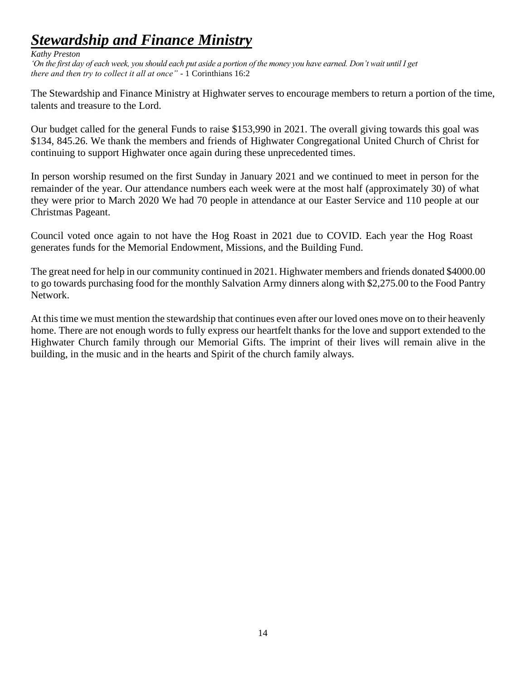## *Stewardship and Finance Ministry*

#### *Kathy Preston*

*'On the first day of each week, you should each put aside a portion of the money you have earned. Don't wait until I get there and then try to collect it all at once" -* 1 Corinthians 16:2

The Stewardship and Finance Ministry at Highwater serves to encourage members to return a portion of the time, talents and treasure to the Lord.

Our budget called for the general Funds to raise \$153,990 in 2021. The overall giving towards this goal was \$134, 845.26. We thank the members and friends of Highwater Congregational United Church of Christ for continuing to support Highwater once again during these unprecedented times.

In person worship resumed on the first Sunday in January 2021 and we continued to meet in person for the remainder of the year. Our attendance numbers each week were at the most half (approximately 30) of what they were prior to March 2020 We had 70 people in attendance at our Easter Service and 110 people at our Christmas Pageant.

Council voted once again to not have the Hog Roast in 2021 due to COVID. Each year the Hog Roast generates funds for the Memorial Endowment, Missions, and the Building Fund.

The great need for help in our community continued in 2021. Highwater members and friends donated \$4000.00 to go towards purchasing food for the monthly Salvation Army dinners along with \$2,275.00 to the Food Pantry Network.

At this time we must mention the stewardship that continues even after our loved ones move on to their heavenly home. There are not enough words to fully express our heartfelt thanks for the love and support extended to the Highwater Church family through our Memorial Gifts. The imprint of their lives will remain alive in the building, in the music and in the hearts and Spirit of the church family always.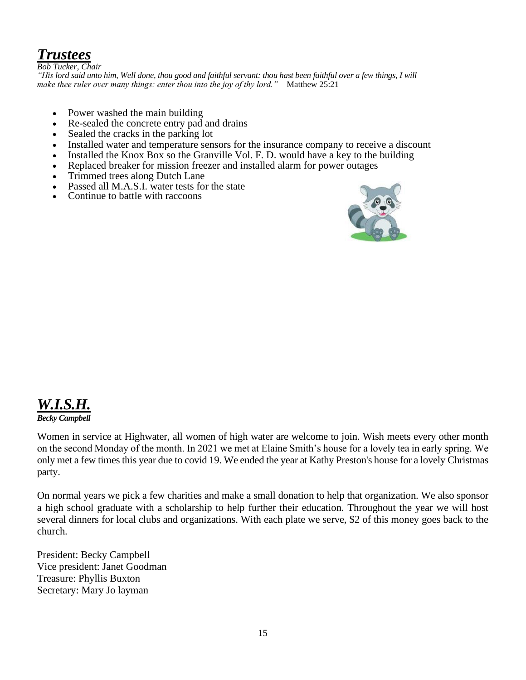## *Trustees*

*Bob Tucker, Chair "His lord said unto him, Well done, thou good and faithful servant: thou hast been faithful over a few things, I will make thee ruler over many things: enter thou into the joy of thy lord." –* Matthew 25:21

- Power washed the main building
- Re-sealed the concrete entry pad and drains
- Sealed the cracks in the parking lot
- Installed water and temperature sensors for the insurance company to receive a discount
- Installed the Knox Box so the Granville Vol. F. D. would have a key to the building
- Replaced breaker for mission freezer and installed alarm for power outages
- Trimmed trees along Dutch Lane
- Passed all M.A.S.I. water tests for the state
- Continue to battle with raccoons



#### *W.I.S.H. Becky Campbell*

Women in service at Highwater, all women of high water are welcome to join. Wish meets every other month on the second Monday of the month. In 2021 we met at Elaine Smith's house for a lovely tea in early spring. We only met a few times this year due to covid 19. We ended the year at Kathy Preston's house for a lovely Christmas party.

On normal years we pick a few charities and make a small donation to help that organization. We also sponsor a high school graduate with a scholarship to help further their education. Throughout the year we will host several dinners for local clubs and organizations. With each plate we serve, \$2 of this money goes back to the church.

President: Becky Campbell Vice president: Janet Goodman Treasure: Phyllis Buxton Secretary: Mary Jo layman